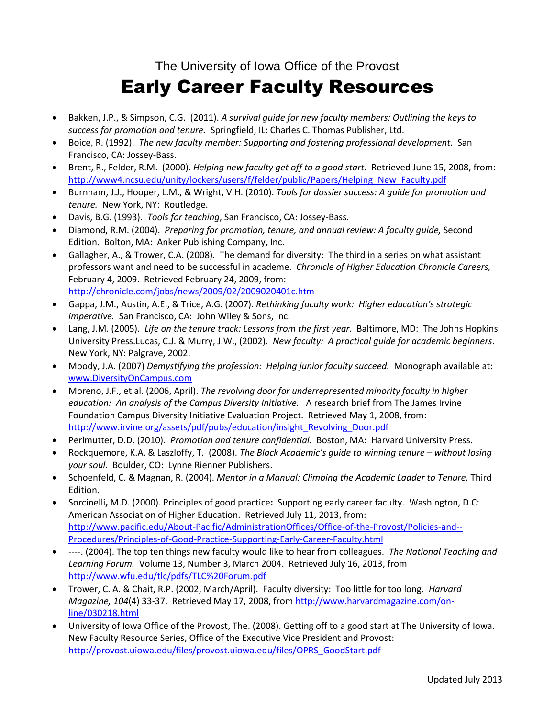The University of Iowa Office of the Provost

## Early Career Faculty Resources

- Bakken, J.P., & Simpson, C.G. (2011). *A survival guide for new faculty members: Outlining the keys to success for promotion and tenure.* Springfield, IL: Charles C. Thomas Publisher, Ltd.
- Boice, R. (1992). *The new faculty member: Supporting and fostering professional development.* San Francisco, CA: Jossey-Bass.
- Brent, R., Felder, R.M. (2000). *Helping new faculty get off to a good start*. Retrieved June 15, 2008, from: [http://www4.ncsu.edu/unity/lockers/users/f/felder/public/Papers/Helping\\_New\\_Faculty.pdf](http://www4.ncsu.edu/unity/lockers/users/f/felder/public/Papers/Helping_New_Faculty.pdf)
- Burnham, J.J., Hooper, L.M., & Wright, V.H. (2010). *Tools for dossier success: A guide for promotion and tenure.* New York, NY: Routledge.
- Davis, B.G. (1993). *Tools for teaching*, San Francisco, CA: Jossey-Bass.
- Diamond, R.M. (2004). *Preparing for promotion, tenure, and annual review: A faculty guide,* Second Edition. Bolton, MA: Anker Publishing Company, Inc.
- Gallagher, A., & Trower, C.A. (2008). The demand for diversity: The third in a series on what assistant professors want and need to be successful in academe. *Chronicle of Higher Education Chronicle Careers,* February 4, 2009. Retrieved February 24, 2009, from: <http://chronicle.com/jobs/news/2009/02/2009020401c.htm>
- Gappa, J.M., Austin, A.E., & Trice, A.G. (2007). *Rethinking faculty work: Higher education's strategic imperative.* San Francisco, CA: John Wiley & Sons, Inc.
- Lang, J.M. (2005). *Life on the tenure track: Lessons from the first year.* Baltimore, MD: The Johns Hopkins University Press.Lucas, C.J. & Murry, J.W., (2002). *New faculty: A practical guide for academic beginners*. New York, NY: Palgrave, 2002.
- Moody, J.A. (2007) *Demystifying the profession: Helping junior faculty succeed.* Monograph available at: [www.DiversityOnCampus.com](http://www.diversityoncampus.com/)
- Moreno, J.F., et al. (2006, April). *The revolving door for underrepresented minority faculty in higher education: An analysis of the Campus Diversity Initiative.* A research brief from The James Irvine Foundation Campus Diversity Initiative Evaluation Project. Retrieved May 1, 2008, from: [http://www.irvine.org/assets/pdf/pubs/education/insight\\_Revolving\\_Door.pdf](http://www.irvine.org/assets/pdf/pubs/education/insight_Revolving_Door.pdf)
- Perlmutter, D.D. (2010). *Promotion and tenure confidential.* Boston, MA: Harvard University Press.
- Rockquemore, K.A. & Laszloffy, T. (2008). *The Black Academic's guide to winning tenure – without losing your soul*. Boulder, CO: Lynne Rienner Publishers.
- Schoenfeld, C. & Magnan, R. (2004). *Mentor in a Manual: Climbing the Academic Ladder to Tenure,* Third Edition.
- Sorcinelli**,** M.D. (2000). Principles of good practice**:** Supporting early career faculty. Washington, D.C: American Association of Higher Education. Retrieved July 11, 2013, from: [http://www.pacific.edu/About-Pacific/AdministrationOffices/Office-of-the-Provost/Policies-and--](http://www.pacific.edu/About-Pacific/AdministrationOffices/Office-of-the-Provost/Policies-and--Procedures/Principles-of-Good-Practice-Supporting-Early-Career-Faculty.html) [Procedures/Principles-of-Good-Practice-Supporting-Early-Career-Faculty.html](http://www.pacific.edu/About-Pacific/AdministrationOffices/Office-of-the-Provost/Policies-and--Procedures/Principles-of-Good-Practice-Supporting-Early-Career-Faculty.html)
- ----. (2004). The top ten things new faculty would like to hear from colleagues. *The National Teaching and Learning Forum.* Volume 13, Number 3, March 2004. Retrieved July 16, 2013, from <http://www.wfu.edu/tlc/pdfs/TLC%20Forum.pdf>
- Trower, C. A. & Chait, R.P. (2002, March/April). Faculty diversity: Too little for too long. *Harvard Magazine, 104*(4) 33-37. Retrieved May 17, 2008, from [http://www.harvardmagazine.com/on](http://www.harvardmagazine.com/on-line/030218.html)[line/030218.html](http://www.harvardmagazine.com/on-line/030218.html)
- University of Iowa Office of the Provost, The. (2008). Getting off to a good start at The University of Iowa. New Faculty Resource Series, Office of the Executive Vice President and Provost: [http://provost.uiowa.edu/files/provost.uiowa.edu/files/OPRS\\_GoodStart.pdf](http://provost.uiowa.edu/files/provost.uiowa.edu/files/OPRS_GoodStart.pdf)